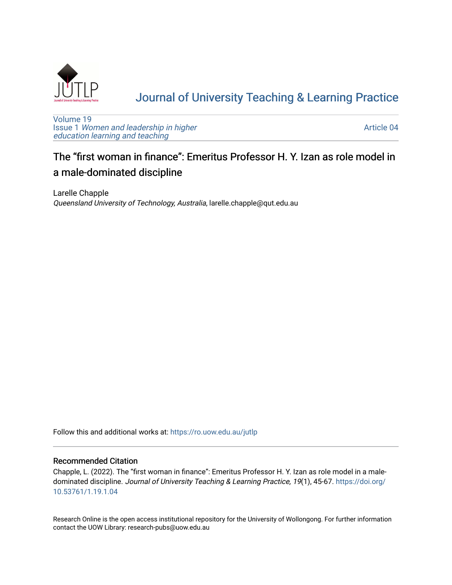

# [Journal of University Teaching & Learning Practice](https://ro.uow.edu.au/jutlp)

[Volume 19](https://ro.uow.edu.au/jutlp/vol19) Issue 1 [Women and leadership in higher](https://ro.uow.edu.au/jutlp/vol19/iss1) [education learning and teaching](https://ro.uow.edu.au/jutlp/vol19/iss1)

[Article 04](https://ro.uow.edu.au/jutlp/vol19/iss1/04) 

## The "first woman in finance": Emeritus Professor H. Y. Izan as role model in a male-dominated discipline

Larelle Chapple Queensland University of Technology, Australia, larelle.chapple@qut.edu.au

Follow this and additional works at: [https://ro.uow.edu.au/jutlp](https://ro.uow.edu.au/jutlp?utm_source=ro.uow.edu.au%2Fjutlp%2Fvol19%2Fiss1%2F04&utm_medium=PDF&utm_campaign=PDFCoverPages) 

## Recommended Citation

Chapple, L. (2022). The "first woman in finance": Emeritus Professor H. Y. Izan as role model in a maledominated discipline. Journal of University Teaching & Learning Practice, 19(1), 45-67. [https://doi.org/](https://doi.org/10.53761/1.19.1.04) [10.53761/1.19.1.04](https://doi.org/10.53761/1.19.1.04) 

Research Online is the open access institutional repository for the University of Wollongong. For further information contact the UOW Library: research-pubs@uow.edu.au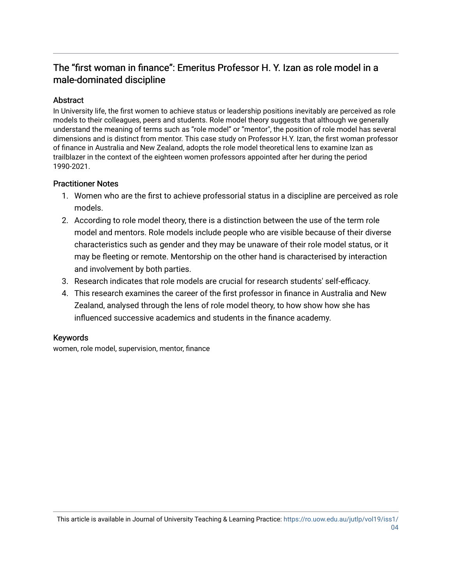## The "first woman in finance": Emeritus Professor H. Y. Izan as role model in a male-dominated discipline

## Abstract

In University life, the first women to achieve status or leadership positions inevitably are perceived as role models to their colleagues, peers and students. Role model theory suggests that although we generally understand the meaning of terms such as "role model" or "mentor", the position of role model has several dimensions and is distinct from mentor. This case study on Professor H.Y. Izan, the first woman professor of finance in Australia and New Zealand, adopts the role model theoretical lens to examine Izan as trailblazer in the context of the eighteen women professors appointed after her during the period 1990-2021.

## Practitioner Notes

- 1. Women who are the first to achieve professorial status in a discipline are perceived as role models.
- 2. According to role model theory, there is a distinction between the use of the term role model and mentors. Role models include people who are visible because of their diverse characteristics such as gender and they may be unaware of their role model status, or it may be fleeting or remote. Mentorship on the other hand is characterised by interaction and involvement by both parties.
- 3. Research indicates that role models are crucial for research students' self-efficacy.
- 4. This research examines the career of the first professor in finance in Australia and New Zealand, analysed through the lens of role model theory, to how show how she has influenced successive academics and students in the finance academy.

## Keywords

women, role model, supervision, mentor, finance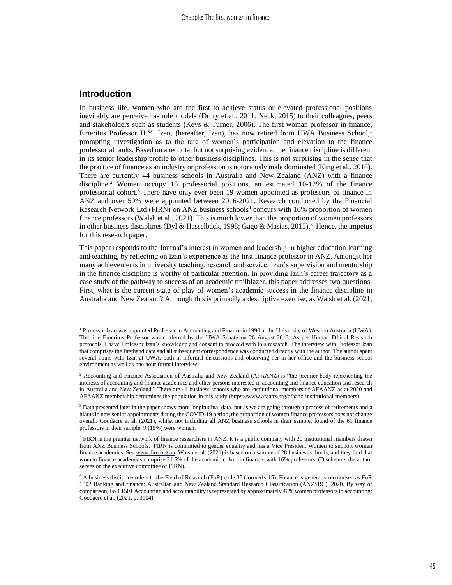## **Introduction**

In business life, women who are the first to achieve status or elevated professional positions inevitably are perceived as role models (Drury et al., 2011; Neck, 2015) to their colleagues, peers and stakeholders such as students (Keys & Turner, 2006). The first woman professor in finance, Emeritus Professor H.Y. Izan, (hereafter, Izan), has now retired from UWA Business School,<sup>1</sup> prompting investigation as to the rate of women's participation and elevation to the finance professorial ranks. Based on anecdotal but not surprising evidence, the finance discipline is different in its senior leadership profile to other business disciplines. This is not surprising in the sense that the practice of finance as an industry or profession is notoriously male dominated (King et al., 2018). There are currently 44 business schools in Australia and New Zealand (ANZ) with a finance discipline.<sup>2</sup> Women occupy 15 professorial positions, an estimated 10-12% of the finance professorial cohort.<sup>3</sup> There have only ever been 19 women appointed as professors of finance in ANZ and over 50% were appointed between 2016-2021. Research conducted by the Financial Research Network Ltd (FIRN) on ANZ business schools<sup>4</sup> concurs with 10% proportion of women finance professors (Walsh et al., 2021). This is much lower than the proportion of women professors in other business disciplines (Dyl & Hasselback, 1998; Gago & Masias, 2015).<sup>5</sup> Hence, the impetus for this research paper.

This paper responds to the Journal's interest in women and leadership in higher education learning and teaching, by reflecting on Izan's experience as the first finance professor in ANZ. Amongst her many achievements in university teaching, research and service, Izan's supervision and mentorship in the finance discipline is worthy of particular attention. In providing Izan's career trajectory as a case study of the pathway to success of an academic trailblazer, this paper addresses two questions: First, what is the current state of play of women's academic success in the finance discipline in Australia and New Zealand? Although this is primarily a descriptive exercise, as Walsh et al. (2021,

<sup>1</sup> Professor Izan was appointed Professor in Accounting and Finance in 1990 at the University of Western Australia (UWA). The title Emeritus Professor was conferred by the UWA Senate on 26 August 2013. As per Human Ethical Research protocols, I have Professor Izan's knowledge and consent to proceed with this research. The interview with Professor Izan that comprises the firsthand data and all subsequent correspondence was conducted directly with the author. The author spent several hours with Izan at UWA, both in informal discussions and observing her in her office and the business school environment as well as one hour formal interview.

<sup>&</sup>lt;sup>2</sup> Accounting and Finance Association of Australia and New Zealand (AFAANZ) is "the premier body representing the interests of accounting and finance academics and other persons interested in accounting and finance education and research in Australia and New Zealand." There are 44 business schools who are institutional members of AFAANZ as at 2020 and AFAANZ membership determines the population in this study (https://www.afaanz.org/afaanz-institutional-members).

<sup>&</sup>lt;sup>3</sup> Data presented later in the paper shows more longitudinal data, but as we are going through a process of retirements and a hiatus in new senior appointments during the COVID-19 period, the proportion of women finance professors does not change overall. Goodacre et al. (2021), whilst not including all ANZ business schools in their sample, found of the 61 finance professors in their sample, 9 (15%) were women.

<sup>4</sup> FIRN is the premier network of finance researchers in ANZ. It is a public company with 20 institutional members drawn from ANZ Business Schools. FIRN is committed to gender equality and has a Vice President Women to support women finance academics. Se[e www.firn.org.au.](http://www.firn.org.au/) Walsh et al. (2021) is based on a sample of 28 business schools, and they find that women finance academics comprise 31.5% of the academic cohort in finance, with 16% professors. (Disclosure, the author serves on the executive committee of FIRN).

<sup>&</sup>lt;sup>5</sup> A business discipline refers to the Field of Research (FoR) code 35 (formerly 15). Finance is generally recognised as FoR 1502 Banking and finance: Australian and New Zealand Standard Research Classification (ANZSRC), 2020. By way of comparison, FoR 1501 Accounting and accountability is represented by approximately 40% women professors in accounting: Goodacre et al. (2021, p. 3104).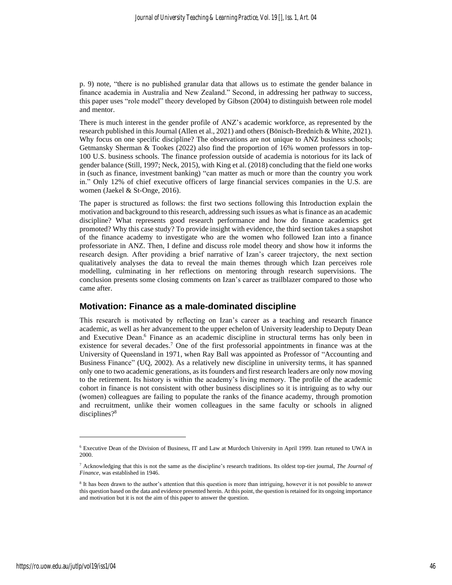p. 9) note, "there is no published granular data that allows us to estimate the gender balance in finance academia in Australia and New Zealand." Second, in addressing her pathway to success, this paper uses "role model" theory developed by Gibson (2004) to distinguish between role model and mentor.

There is much interest in the gender profile of ANZ's academic workforce, as represented by the research published in this Journal (Allen et al., 2021) and others (Bönisch-Brednich & White, 2021). Why focus on one specific discipline? The observations are not unique to ANZ business schools; Getmansky Sherman & Tookes (2022) also find the proportion of 16% women professors in top-100 U.S. business schools. The finance profession outside of academia is notorious for its lack of gender balance (Still, 1997; Neck, 2015), with King et al. (2018) concluding that the field one works in (such as finance, investment banking) "can matter as much or more than the country you work in." Only 12% of chief executive officers of large financial services companies in the U.S. are women (Jaekel & St-Onge, 2016).

The paper is structured as follows: the first two sections following this Introduction explain the motivation and background to this research, addressing such issues as what is finance as an academic discipline? What represents good research performance and how do finance academics get promoted? Why this case study? To provide insight with evidence, the third section takes a snapshot of the finance academy to investigate who are the women who followed Izan into a finance professoriate in ANZ. Then, I define and discuss role model theory and show how it informs the research design. After providing a brief narrative of Izan's career trajectory, the next section qualitatively analyses the data to reveal the main themes through which Izan perceives role modelling, culminating in her reflections on mentoring through research supervisions. The conclusion presents some closing comments on Izan's career as trailblazer compared to those who came after.

## **Motivation: Finance as a male-dominated discipline**

This research is motivated by reflecting on Izan's career as a teaching and research finance academic, as well as her advancement to the upper echelon of University leadership to Deputy Dean and Executive Dean. <sup>6</sup> Finance as an academic discipline in structural terms has only been in existence for several decades.<sup>7</sup> One of the first professorial appointments in finance was at the University of Queensland in 1971, when Ray Ball was appointed as Professor of "Accounting and Business Finance" (UQ, 2002). As a relatively new discipline in university terms, it has spanned only one to two academic generations, as its founders and first research leaders are only now moving to the retirement. Its history is within the academy's living memory. The profile of the academic cohort in finance is not consistent with other business disciplines so it is intriguing as to why our (women) colleagues are failing to populate the ranks of the finance academy, through promotion and recruitment, unlike their women colleagues in the same faculty or schools in aligned disciplines?<sup>8</sup>

<sup>6</sup> Executive Dean of the Division of Business, IT and Law at Murdoch University in April 1999. Izan retuned to UWA in 2000.

<sup>7</sup> Acknowledging that this is not the same as the discipline's research traditions. Its oldest top-tier journal, *The Journal of Finance*, was established in 1946.

<sup>&</sup>lt;sup>8</sup> It has been drawn to the author's attention that this question is more than intriguing, however it is not possible to answer this question based on the data and evidence presented herein. At this point, the question is retained for its ongoing importance and motivation but it is not the aim of this paper to answer the question.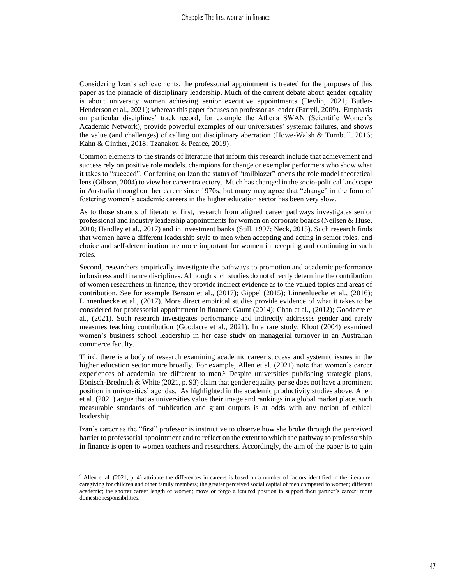Considering Izan's achievements, the professorial appointment is treated for the purposes of this paper as the pinnacle of disciplinary leadership. Much of the current debate about gender equality is about university women achieving senior executive appointments (Devlin, 2021; Butler-Henderson et al., 2021); whereas this paper focuses on professor as leader (Farrell, 2009). Emphasis on particular disciplines' track record, for example the Athena SWAN (Scientific Women's Academic Network), provide powerful examples of our universities' systemic failures, and shows the value (and challenges) of calling out disciplinary aberration (Howe‐Walsh & Turnbull, 2016; Kahn & Ginther, 2018; Tzanakou & Pearce, 2019).

Common elements to the strands of literature that inform this research include that achievement and success rely on positive role models, champions for change or exemplar performers who show what it takes to "succeed". Conferring on Izan the status of "trailblazer" opens the role model theoretical lens (Gibson, 2004) to view her career trajectory. Much has changed in the socio-political landscape in Australia throughout her career since 1970s, but many may agree that "change" in the form of fostering women's academic careers in the higher education sector has been very slow.

As to those strands of literature, first, research from aligned career pathways investigates senior professional and industry leadership appointments for women on corporate boards (Neilsen & Huse, 2010; Handley et al., 2017) and in investment banks (Still, 1997; Neck, 2015). Such research finds that women have a different leadership style to men when accepting and acting in senior roles, and choice and self-determination are more important for women in accepting and continuing in such roles.

Second, researchers empirically investigate the pathways to promotion and academic performance in business and finance disciplines. Although such studies do not directly determine the contribution of women researchers in finance, they provide indirect evidence as to the valued topics and areas of contribution. See for example Benson et al., (2017); Gippel (2015); Linnenluecke et al., (2016); Linnenluecke et al., (2017). More direct empirical studies provide evidence of what it takes to be considered for professorial appointment in finance: Gaunt (2014); Chan et al., (2012); Goodacre et al., (2021). Such research investigates performance and indirectly addresses gender and rarely measures teaching contribution (Goodacre et al., 2021). In a rare study, Kloot (2004) examined women's business school leadership in her case study on managerial turnover in an Australian commerce faculty.

Third, there is a body of research examining academic career success and systemic issues in the higher education sector more broadly. For example, Allen et al. (2021) note that women's career experiences of academia are different to men. <sup>9</sup> Despite universities publishing strategic plans, Bönisch-Brednich & White (2021, p. 93) claim that gender equality per se does not have a prominent position in universities' agendas. As highlighted in the academic productivity studies above, Allen et al. (2021) argue that as universities value their image and rankings in a global market place, such measurable standards of publication and grant outputs is at odds with any notion of ethical leadership.

Izan's career as the "first" professor is instructive to observe how she broke through the perceived barrier to professorial appointment and to reflect on the extent to which the pathway to professorship in finance is open to women teachers and researchers. Accordingly, the aim of the paper is to gain

<sup>9</sup> Allen et al. (2021, p. 4) attribute the differences in careers is based on a number of factors identified in the literature: caregiving for children and other family members; the greater perceived social capital of men compared to women; different academic; the shorter career length of women; move or forgo a tenured position to support their partner's career; more domestic responsibilities.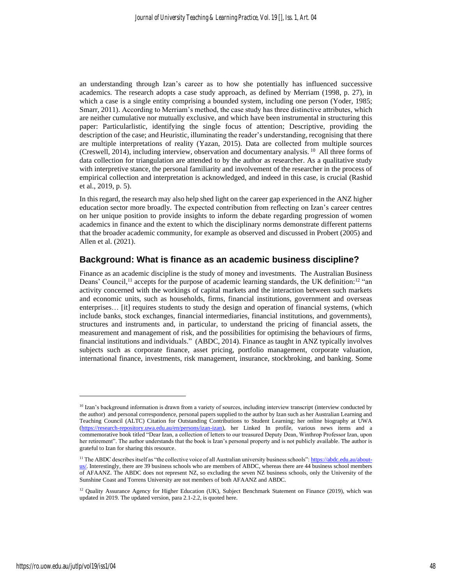an understanding through Izan's career as to how she potentially has influenced successive academics. The research adopts a case study approach, as defined by Merriam (1998, p. 27), in which a case is a single entity comprising a bounded system, including one person (Yoder, 1985; Smarr, 2011). According to Merriam's method, the case study has three distinctive attributes, which are neither cumulative nor mutually exclusive, and which have been instrumental in structuring this paper: Particularlistic, identifying the single focus of attention; Descriptive, providing the description of the case; and Heuristic, illuminating the reader's understanding, recognising that there are multiple interpretations of reality (Yazan, 2015). Data are collected from multiple sources (Creswell, 2014), including interview, observation and documentary analysis. <sup>10</sup> All three forms of data collection for triangulation are attended to by the author as researcher. As a qualitative study with interpretive stance, the personal familiarity and involvement of the researcher in the process of empirical collection and interpretation is acknowledged, and indeed in this case, is crucial (Rashid et al., 2019, p. 5).

In this regard, the research may also help shed light on the career gap experienced in the ANZ higher education sector more broadly. The expected contribution from reflecting on Izan's career centres on her unique position to provide insights to inform the debate regarding progression of women academics in finance and the extent to which the disciplinary norms demonstrate different patterns that the broader academic community, for example as observed and discussed in Probert (2005) and Allen et al. (2021).

## **Background: What is finance as an academic business discipline?**

Finance as an academic discipline is the study of money and investments. The Australian Business Deans' Council,<sup>11</sup> accepts for the purpose of academic learning standards, the UK definition:<sup>12</sup> "an activity concerned with the workings of capital markets and the interaction between such markets and economic units, such as households, firms, financial institutions, government and overseas enterprises… [it] requires students to study the design and operation of financial systems, (which include banks, stock exchanges, financial intermediaries, financial institutions, and governments), structures and instruments and, in particular, to understand the pricing of financial assets, the measurement and management of risk, and the possibilities for optimising the behaviours of firms, financial institutions and individuals." (ABDC, 2014). Finance as taught in ANZ typically involves subjects such as corporate finance, asset pricing, portfolio management, corporate valuation, international finance, investments, risk management, insurance, stockbroking, and banking. Some

<sup>&</sup>lt;sup>10</sup> Izan's background information is drawn from a variety of sources, including interview transcript (interview conducted by the author) and personal correspondence, personal papers supplied to the author by Izan such as her Australian Learning and Teaching Council (ALTC) Citation for Outstanding Contributions to Student Learning; her online biography at UWA [\(https://research-repository.uwa.edu.au/en/persons/izan-izan\)](https://research-repository.uwa.edu.au/en/persons/izan-izan), her Linked In profile, various news items and a commemorative book titled "Dear Izan, a collection of letters to our treasured Deputy Dean, Winthrop Professor Izan, upon her retirement". The author understands that the book is Izan's personal property and is not publicly available. The author is grateful to Izan for sharing this resource.

<sup>&</sup>lt;sup>11</sup> The ABDC describes itself as "the collective voice of all Australian university business schools"[: https://abdc.edu.au/about](https://abdc.edu.au/about-us/)[us/.](https://abdc.edu.au/about-us/) Interestingly, there are 39 business schools who are members of ABDC, whereas there are 44 business school members of AFAANZ. The ABDC does not represent NZ, so excluding the seven NZ business schools, only the University of the Sunshine Coast and Torrens University are not members of both AFAANZ and ABDC.

<sup>&</sup>lt;sup>12</sup> Quality Assurance Agency for Higher Education (UK), Subject Benchmark Statement on Finance (2019), which was updated in 2019. The updated version, para 2.1-2.2, is quoted here.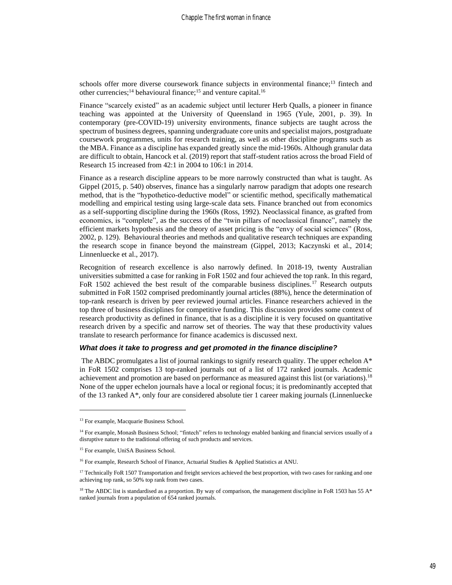schools offer more diverse coursework finance subjects in environmental finance;<sup>13</sup> fintech and other currencies;<sup>14</sup> behavioural finance;<sup>15</sup> and venture capital.<sup>16</sup>

Finance "scarcely existed" as an academic subject until lecturer Herb Qualls, a pioneer in finance teaching was appointed at the University of Queensland in 1965 (Yule, 2001, p. 39). In contemporary (pre-COVID-19) university environments, finance subjects are taught across the spectrum of business degrees, spanning undergraduate core units and specialist majors, postgraduate coursework programmes, units for research training, as well as other discipline programs such as the MBA. Finance as a discipline has expanded greatly since the mid-1960s. Although granular data are difficult to obtain, Hancock et al. (2019) report that staff-student ratios across the broad Field of Research 15 increased from 42:1 in 2004 to 106:1 in 2014.

Finance as a research discipline appears to be more narrowly constructed than what is taught. As Gippel (2015, p. 540) observes, finance has a singularly narrow paradigm that adopts one research method, that is the "hypothetico-deductive model" or scientific method, specifically mathematical modelling and empirical testing using large-scale data sets. Finance branched out from economics as a self-supporting discipline during the 1960s (Ross, 1992). Neoclassical finance, as grafted from economics, is "complete", as the success of the "twin pillars of neoclassical finance", namely the efficient markets hypothesis and the theory of asset pricing is the "envy of social sciences" (Ross, 2002, p. 129). Behavioural theories and methods and qualitative research techniques are expanding the research scope in finance beyond the mainstream (Gippel, 2013; Kaczynski et al., 2014; Linnenluecke et al., 2017).

Recognition of research excellence is also narrowly defined. In 2018-19, twenty Australian universities submitted a case for ranking in FoR 1502 and four achieved the top rank. In this regard, FoR 1502 achieved the best result of the comparable business disciplines.<sup>17</sup> Research outputs submitted in FoR 1502 comprised predominantly journal articles (88%), hence the determination of top-rank research is driven by peer reviewed journal articles. Finance researchers achieved in the top three of business disciplines for competitive funding. This discussion provides some context of research productivity as defined in finance, that is as a discipline it is very focused on quantitative research driven by a specific and narrow set of theories. The way that these productivity values translate to research performance for finance academics is discussed next.

#### *What does it take to progress and get promoted in the finance discipline?*

The ABDC promulgates a list of journal rankings to signify research quality. The upper echelon  $A^*$ in FoR 1502 comprises 13 top-ranked journals out of a list of 172 ranked journals. Academic achievement and promotion are based on performance as measured against this list (or variations).<sup>18</sup> None of the upper echelon journals have a local or regional focus; it is predominantly accepted that of the 13 ranked A\*, only four are considered absolute tier 1 career making journals (Linnenluecke

<sup>&</sup>lt;sup>13</sup> For example, Macquarie Business School.

 $14$  For example, Monash Business School; "fintech" refers to technology enabled banking and financial services usually of a disruptive nature to the traditional offering of such products and services.

<sup>&</sup>lt;sup>15</sup> For example, UniSA Business School.

<sup>&</sup>lt;sup>16</sup> For example, Research School of Finance, Actuarial Studies & Applied Statistics at ANU.

<sup>&</sup>lt;sup>17</sup> Technically FoR 1507 Transportation and freight services achieved the best proportion, with two cases for ranking and one achieving top rank, so 50% top rank from two cases.

<sup>&</sup>lt;sup>18</sup> The ABDC list is standardised as a proportion. By way of comparison, the management discipline in FoR 1503 has 55 A\* ranked journals from a population of 654 ranked journals.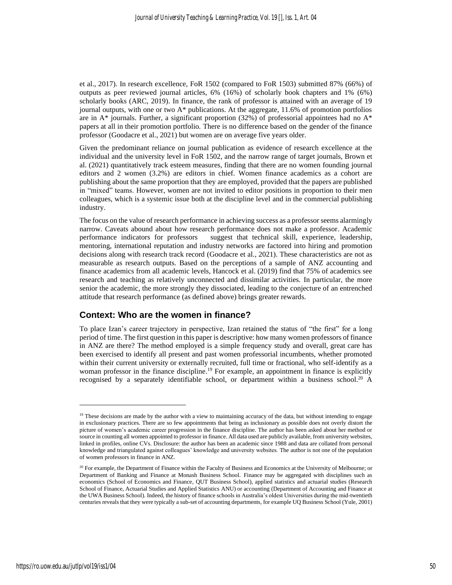et al., 2017). In research excellence, FoR 1502 (compared to FoR 1503) submitted 87% (66%) of outputs as peer reviewed journal articles, 6% (16%) of scholarly book chapters and 1% (6%) scholarly books (ARC, 2019). In finance, the rank of professor is attained with an average of 19 journal outputs, with one or two A\* publications. At the aggregate, 11.6% of promotion portfolios are in  $A^*$  journals. Further, a significant proportion (32%) of professorial appointees had no  $A^*$ papers at all in their promotion portfolio. There is no difference based on the gender of the finance professor (Goodacre et al., 2021) but women are on average five years older.

Given the predominant reliance on journal publication as evidence of research excellence at the individual and the university level in FoR 1502, and the narrow range of target journals, Brown et al. (2021) quantitatively track esteem measures, finding that there are no women founding journal editors and 2 women (3.2%) are editors in chief. Women finance academics as a cohort are publishing about the same proportion that they are employed, provided that the papers are published in "mixed" teams. However, women are not invited to editor positions in proportion to their men colleagues, which is a systemic issue both at the discipline level and in the commercial publishing industry.

The focus on the value of research performance in achieving success as a professor seems alarmingly narrow. Caveats abound about how research performance does not make a professor. Academic performance indicators for professors suggest that technical skill, experience, leadership, mentoring, international reputation and industry networks are factored into hiring and promotion decisions along with research track record (Goodacre et al., 2021). These characteristics are not as measurable as research outputs. Based on the perceptions of a sample of ANZ accounting and finance academics from all academic levels, Hancock et al. (2019) find that 75% of academics see research and teaching as relatively unconnected and dissimilar activities. In particular, the more senior the academic, the more strongly they dissociated, leading to the conjecture of an entrenched attitude that research performance (as defined above) brings greater rewards.

## **Context: Who are the women in finance?**

To place Izan's career trajectory in perspective, Izan retained the status of "the first" for a long period of time. The first question in this paper is descriptive: how many women professors of finance in ANZ are there? The method employed is a simple frequency study and overall, great care has been exercised to identify all present and past women professorial incumbents, whether promoted within their current university or externally recruited, full time or fractional, who self-identify as a woman professor in the finance discipline.<sup>19</sup> For example, an appointment in finance is explicitly recognised by a separately identifiable school, or department within a business school.<sup>20</sup> A

<sup>&</sup>lt;sup>19</sup> These decisions are made by the author with a view to maintaining accuracy of the data, but without intending to engage in exclusionary practices. There are so few appointments that being as inclusionary as possible does not overly distort the picture of women's academic career progression in the finance discipline. The author has been asked about her method or source in counting all women appointed to professor in finance. All data used are publicly available, from university websites, linked in profiles, online CVs. Disclosure: the author has been an academic since 1988 and data are collated from personal knowledge and triangulated against colleagues' knowledge and university websites. The author is not one of the population of women professors in finance in ANZ.

 $20$  For example, the Department of Finance within the Faculty of Business and Economics at the University of Melbourne; or Department of Banking and Finance at Monash Business School. Finance may be aggregated with disciplines such as economics (School of Economics and Finance, QUT Business School), applied statistics and actuarial studies (Research School of Finance, Actuarial Studies and Applied Statistics ANU) or accounting (Department of Accounting and Finance at the UWA Business School). Indeed, the history of finance schools in Australia's oldest Universities during the mid-twentieth centuries reveals that they were typically a sub-set of accounting departments, for example UQ Business School (Yule, 2001)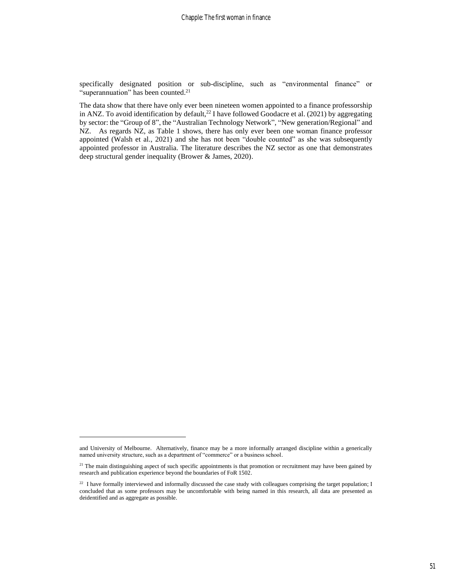specifically designated position or sub-discipline, such as "environmental finance" or "superannuation" has been counted.<sup>21</sup>

The data show that there have only ever been nineteen women appointed to a finance professorship in ANZ. To avoid identification by default,<sup>22</sup> I have followed Goodacre et al. (2021) by aggregating by sector: the "Group of 8", the "Australian Technology Network", "New generation/Regional" and NZ. As regards NZ, as Table 1 shows, there has only ever been one woman finance professor appointed (Walsh et al., 2021) and she has not been "double counted" as she was subsequently appointed professor in Australia. The literature describes the NZ sector as one that demonstrates deep structural gender inequality (Brower & James, 2020).

and University of Melbourne. Alternatively, finance may be a more informally arranged discipline within a generically named university structure, such as a department of "commerce" or a business school.

 $21$  The main distinguishing aspect of such specific appointments is that promotion or recruitment may have been gained by research and publication experience beyond the boundaries of FoR 1502.

<sup>&</sup>lt;sup>22</sup> I have formally interviewed and informally discussed the case study with colleagues comprising the target population; I concluded that as some professors may be uncomfortable with being named in this research, all data are presented as deidentified and as aggregate as possible.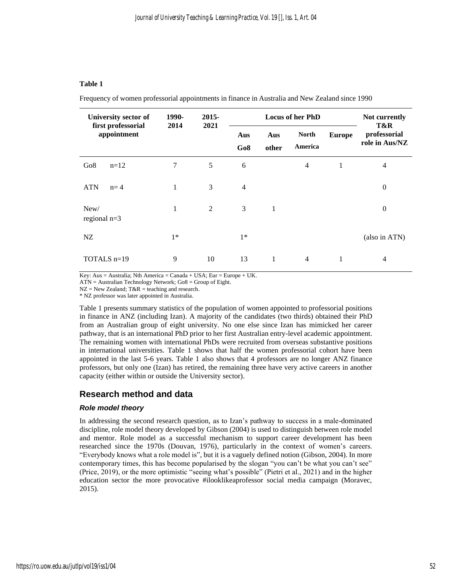#### **Table 1**

Frequency of women professorial appointments in finance in Australia and New Zealand since 1990

| University sector of              | 1990-<br>2014 | $2015 -$<br>2021 | <b>Locus of her PhD</b> |              |                         |               | Not currently<br>T&R           |
|-----------------------------------|---------------|------------------|-------------------------|--------------|-------------------------|---------------|--------------------------------|
| first professorial<br>appointment |               |                  | Aus<br>Go8              | Aus<br>other | <b>North</b><br>America | <b>Europe</b> | professorial<br>role in Aus/NZ |
| Go <sub>8</sub><br>$n=12$         | 7             | 5                | 6                       |              | $\overline{4}$          | 1             | 4                              |
| <b>ATN</b><br>$n=4$               | 1             | 3                | $\overline{4}$          |              |                         |               | $\boldsymbol{0}$               |
| New/<br>regional $n=3$            | $\mathbf{1}$  | $\overline{2}$   | 3                       | 1            |                         |               | $\boldsymbol{0}$               |
| NZ                                | $1*$          |                  | $1*$                    |              |                         |               | (also in ATN)                  |
| TOTALS $n=19$                     | 9             | 10               | 13                      | 1            | $\overline{4}$          | 1             | 4                              |

Key: Aus = Australia; Nth America = Canada + USA; Eur = Europe + UK.

ATN = Australian Technology Network; Go8 = Group of Eight.

 $NZ = New Zealand$ ;  $T&R = teaching$  and research.

\* NZ professor was later appointed in Australia.

Table 1 presents summary statistics of the population of women appointed to professorial positions in finance in ANZ (including Izan). A majority of the candidates (two thirds) obtained their PhD from an Australian group of eight university. No one else since Izan has mimicked her career pathway, that is an international PhD prior to her first Australian entry-level academic appointment. The remaining women with international PhDs were recruited from overseas substantive positions in international universities. Table 1 shows that half the women professorial cohort have been appointed in the last 5-6 years. Table 1 also shows that 4 professors are no longer ANZ finance professors, but only one (Izan) has retired, the remaining three have very active careers in another capacity (either within or outside the University sector).

## **Research method and data**

#### *Role model theory*

In addressing the second research question, as to Izan's pathway to success in a male-dominated discipline, role model theory developed by Gibson (2004) is used to distinguish between role model and mentor. Role model as a successful mechanism to support career development has been researched since the 1970s (Douvan, 1976), particularly in the context of women's careers. "Everybody knows what a role model is", but it is a vaguely defined notion (Gibson, 2004). In more contemporary times, this has become popularised by the slogan "you can't be what you can't see" (Price, 2019), or the more optimistic "seeing what's possible" (Pietri et al., 2021) and in the higher education sector the more provocative #ilooklikeaprofessor social media campaign (Moravec, 2015).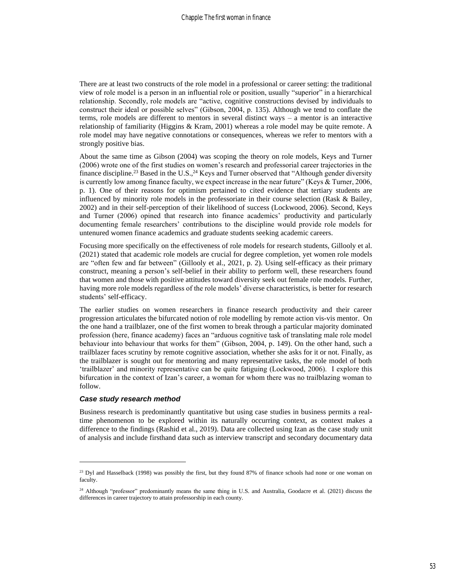There are at least two constructs of the role model in a professional or career setting: the traditional view of role model is a person in an influential role or position, usually "superior" in a hierarchical relationship. Secondly, role models are "active, cognitive constructions devised by individuals to construct their ideal or possible selves" (Gibson, 2004, p. 135). Although we tend to conflate the terms, role models are different to mentors in several distinct ways – a mentor is an interactive relationship of familiarity (Higgins & Kram, 2001) whereas a role model may be quite remote. A role model may have negative connotations or consequences, whereas we refer to mentors with a strongly positive bias.

About the same time as Gibson (2004) was scoping the theory on role models, Keys and Turner (2006) wrote one of the first studies on women's research and professorial career trajectories in the finance discipline.<sup>23</sup> Based in the U.S.,<sup>24</sup> Keys and Turner observed that "Although gender diversity is currently low among finance faculty, we expect increase in the near future" (Keys & Turner, 2006, p. 1). One of their reasons for optimism pertained to cited evidence that tertiary students are influenced by minority role models in the professoriate in their course selection (Rask & Bailey, 2002) and in their self-perception of their likelihood of success (Lockwood, 2006). Second, Keys and Turner (2006) opined that research into finance academics' productivity and particularly documenting female researchers' contributions to the discipline would provide role models for untenured women finance academics and graduate students seeking academic careers.

Focusing more specifically on the effectiveness of role models for research students, Gillooly et al. (2021) stated that academic role models are crucial for degree completion, yet women role models are "often few and far between" (Gillooly et al., 2021, p. 2). Using self-efficacy as their primary construct, meaning a person's self-belief in their ability to perform well, these researchers found that women and those with positive attitudes toward diversity seek out female role models. Further, having more role models regardless of the role models' diverse characteristics, is better for research students' self-efficacy.

The earlier studies on women researchers in finance research productivity and their career progression articulates the bifurcated notion of role modelling by remote action vis-vis mentor. On the one hand a trailblazer, one of the first women to break through a particular majority dominated profession (here, finance academy) faces an "arduous cognitive task of translating male role model behaviour into behaviour that works for them" (Gibson, 2004, p. 149). On the other hand, such a trailblazer faces scrutiny by remote cognitive association, whether she asks for it or not. Finally, as the trailblazer is sought out for mentoring and many representative tasks, the role model of both 'trailblazer' and minority representative can be quite fatiguing (Lockwood, 2006). I explore this bifurcation in the context of Izan's career, a woman for whom there was no trailblazing woman to follow.

#### *Case study research method*

Business research is predominantly quantitative but using case studies in business permits a realtime phenomenon to be explored within its naturally occurring context, as context makes a difference to the findings (Rashid et al., 2019). Data are collected using Izan as the case study unit of analysis and include firsthand data such as interview transcript and secondary documentary data

<sup>&</sup>lt;sup>23</sup> Dyl and Hasselback (1998) was possibly the first, but they found 87% of finance schools had none or one woman on faculty.

 $24$  Although "professor" predominantly means the same thing in U.S. and Australia, Goodacre et al. (2021) discuss the differences in career trajectory to attain professorship in each county.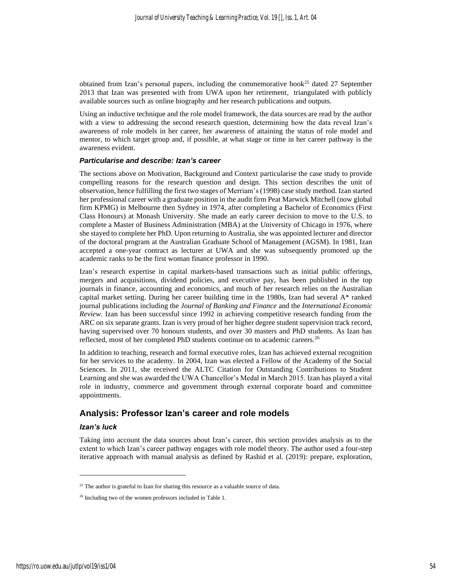obtained from Izan's personal papers, including the commemorative book<sup>25</sup> dated 27 September 2013 that Izan was presented with from UWA upon her retirement, triangulated with publicly available sources such as online biography and her research publications and outputs.

Using an inductive technique and the role model framework, the data sources are read by the author with a view to addressing the second research question, determining how the data reveal Izan's awareness of role models in her career, her awareness of attaining the status of role model and mentor, to which target group and, if possible, at what stage or time in her career pathway is the awareness evident.

#### *Particularise and describe: Izan's career*

The sections above on Motivation, Background and Context particularise the case study to provide compelling reasons for the research question and design. This section describes the unit of observation, hence fulfilling the first two stages of Merriam's (1998) case study method. Izan started her professional career with a graduate position in the audit firm Peat Marwick Mitchell (now global firm KPMG) in Melbourne then Sydney in 1974, after completing a Bachelor of Economics (First Class Honours) at Monash University. She made an early career decision to move to the U.S. to complete a Master of Business Administration (MBA) at the University of Chicago in 1976, where she stayed to complete her PhD. Upon returning to Australia, she was appointed lecturer and director of the doctoral program at the Australian Graduate School of Management (AGSM). In 1981, Izan accepted a one-year contract as lecturer at UWA and she was subsequently promoted up the academic ranks to be the first woman finance professor in 1990.

Izan's research expertise in capital markets-based transactions such as initial public offerings, mergers and acquisitions, dividend policies, and executive pay, has been published in the top journals in finance, accounting and economics, and much of her research relies on the Australian capital market setting. During her career building time in the 1980s, Izan had several A\* ranked journal publications including the *Journal of Banking and Finance* and the *International Economic Review*. Izan has been successful since 1992 in achieving competitive research funding from the ARC on six separate grants. Izan is very proud of her higher degree student supervision track record, having supervised over 70 honours students, and over 30 masters and PhD students. As Izan has reflected, most of her completed PhD students continue on to academic careers.<sup>26</sup>

In addition to teaching, research and formal executive roles, Izan has achieved external recognition for her services to the academy. In 2004, Izan was elected a Fellow of the Academy of the Social Sciences. In 2011, she received the ALTC Citation for Outstanding Contributions to Student Learning and she was awarded the UWA Chancellor's Medal in March 2015. Izan has played a vital role in industry, commerce and government through external corporate board and committee appointments.

## **Analysis: Professor Izan's career and role models**

#### *Izan's luck*

Taking into account the data sources about Izan's career, this section provides analysis as to the extent to which Izan's career pathway engages with role model theory. The author used a four-step iterative approach with manual analysis as defined by Rashid et al. (2019): prepare, exploration,

<sup>&</sup>lt;sup>25</sup> The author is grateful to Izan for sharing this resource as a valuable source of data.

<sup>&</sup>lt;sup>26</sup> Including two of the women professors included in Table 1.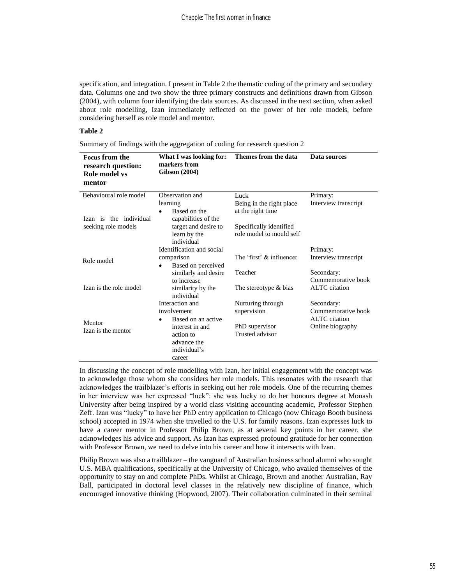specification, and integration. I present in Table 2 the thematic coding of the primary and secondary data. Columns one and two show the three primary constructs and definitions drawn from Gibson (2004), with column four identifying the data sources. As discussed in the next section, when asked about role modelling, Izan immediately reflected on the power of her role models, before considering herself as role model and mentor.

#### **Table 2**

Summary of findings with the aggregation of coding for research question 2

| <b>Focus from the</b><br>research question:<br>Role model vs<br>mentor | What I was looking for:<br>markers from<br><b>Gibson</b> (2004) | Themes from the data                                | Data sources         |
|------------------------------------------------------------------------|-----------------------------------------------------------------|-----------------------------------------------------|----------------------|
| Behavioural role model                                                 | Observation and                                                 | Luck                                                | Primary:             |
|                                                                        | learning                                                        | Being in the right place                            | Interview transcript |
| Izan is the individual                                                 | Based on the<br>capabilities of the                             | at the right time                                   |                      |
| seeking role models                                                    | target and desire to<br>learn by the<br>individual              | Specifically identified<br>role model to mould self |                      |
|                                                                        | Identification and social                                       |                                                     | Primary:             |
| Role model                                                             | comparison                                                      | The 'first' & influencer                            | Interview transcript |
|                                                                        | Based on perceived<br>٠                                         |                                                     |                      |
|                                                                        | similarly and desire                                            | Teacher                                             | Secondary:           |
|                                                                        | to increase                                                     |                                                     | Commemorative book   |
| Izan is the role model                                                 | similarity by the<br>individual                                 | The stereotype & bias                               | <b>ALTC</b> citation |
|                                                                        | Interaction and                                                 | Nurturing through                                   | Secondary:           |
|                                                                        | involvement                                                     | supervision                                         | Commemorative book   |
| Mentor                                                                 | Based on an active<br>$\bullet$                                 |                                                     | ALTC citation        |
| Izan is the mentor                                                     | interest in and                                                 | PhD supervisor                                      | Online biography     |
|                                                                        | action to                                                       | Trusted advisor                                     |                      |
|                                                                        | advance the                                                     |                                                     |                      |
|                                                                        | individual's                                                    |                                                     |                      |
|                                                                        | career                                                          |                                                     |                      |

In discussing the concept of role modelling with Izan, her initial engagement with the concept was to acknowledge those whom she considers her role models. This resonates with the research that acknowledges the trailblazer's efforts in seeking out her role models. One of the recurring themes in her interview was her expressed "luck": she was lucky to do her honours degree at Monash University after being inspired by a world class visiting accounting academic, Professor Stephen Zeff. Izan was "lucky" to have her PhD entry application to Chicago (now Chicago Booth business school) accepted in 1974 when she travelled to the U.S. for family reasons. Izan expresses luck to have a career mentor in Professor Philip Brown, as at several key points in her career, she acknowledges his advice and support. As Izan has expressed profound gratitude for her connection with Professor Brown, we need to delve into his career and how it intersects with Izan.

Philip Brown was also a trailblazer – the vanguard of Australian business school alumni who sought U.S. MBA qualifications, specifically at the University of Chicago, who availed themselves of the opportunity to stay on and complete PhDs. Whilst at Chicago, Brown and another Australian, Ray Ball, participated in doctoral level classes in the relatively new discipline of finance, which encouraged innovative thinking (Hopwood, 2007). Their collaboration culminated in their seminal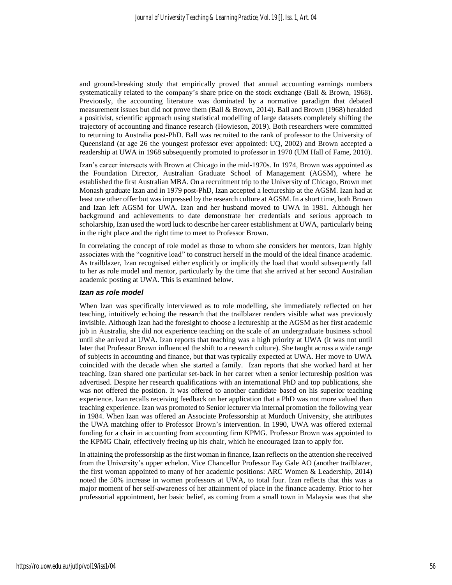and ground-breaking study that empirically proved that annual accounting earnings numbers systematically related to the company's share price on the stock exchange (Ball & Brown, 1968). Previously, the accounting literature was dominated by a normative paradigm that debated measurement issues but did not prove them (Ball & Brown, 2014). Ball and Brown (1968) heralded a positivist, scientific approach using statistical modelling of large datasets completely shifting the trajectory of accounting and finance research (Howieson, 2019). Both researchers were committed to returning to Australia post-PhD. Ball was recruited to the rank of professor to the University of Queensland (at age 26 the youngest professor ever appointed: UQ, 2002) and Brown accepted a readership at UWA in 1968 subsequently promoted to professor in 1970 (UM Hall of Fame, 2010).

Izan's career intersects with Brown at Chicago in the mid-1970s. In 1974, Brown was appointed as the Foundation Director, Australian Graduate School of Management (AGSM), where he established the first Australian MBA. On a recruitment trip to the University of Chicago, Brown met Monash graduate Izan and in 1979 post-PhD, Izan accepted a lectureship at the AGSM. Izan had at least one other offer but was impressed by the research culture at AGSM. In a short time, both Brown and Izan left AGSM for UWA. Izan and her husband moved to UWA in 1981. Although her background and achievements to date demonstrate her credentials and serious approach to scholarship, Izan used the word luck to describe her career establishment at UWA, particularly being in the right place and the right time to meet to Professor Brown.

In correlating the concept of role model as those to whom she considers her mentors, Izan highly associates with the "cognitive load" to construct herself in the mould of the ideal finance academic. As trailblazer, Izan recognised either explicitly or implicitly the load that would subsequently fall to her as role model and mentor, particularly by the time that she arrived at her second Australian academic posting at UWA. This is examined below.

#### *Izan as role model*

When Izan was specifically interviewed as to role modelling, she immediately reflected on her teaching, intuitively echoing the research that the trailblazer renders visible what was previously invisible. Although Izan had the foresight to choose a lectureship at the AGSM as her first academic job in Australia, she did not experience teaching on the scale of an undergraduate business school until she arrived at UWA. Izan reports that teaching was a high priority at UWA (it was not until later that Professor Brown influenced the shift to a research culture). She taught across a wide range of subjects in accounting and finance, but that was typically expected at UWA. Her move to UWA coincided with the decade when she started a family. Izan reports that she worked hard at her teaching. Izan shared one particular set-back in her career when a senior lectureship position was advertised. Despite her research qualifications with an international PhD and top publications, she was not offered the position. It was offered to another candidate based on his superior teaching experience. Izan recalls receiving feedback on her application that a PhD was not more valued than teaching experience. Izan was promoted to Senior lecturer via internal promotion the following year in 1984. When Izan was offered an Associate Professorship at Murdoch University, she attributes the UWA matching offer to Professor Brown's intervention. In 1990, UWA was offered external funding for a chair in accounting from accounting firm KPMG. Professor Brown was appointed to the KPMG Chair, effectively freeing up his chair, which he encouraged Izan to apply for.

In attaining the professorship as the first woman in finance, Izan reflects on the attention she received from the University's upper echelon. Vice Chancellor Professor Fay Gale AO (another trailblazer, the first woman appointed to many of her academic positions: ARC Women & Leadership, 2014) noted the 50% increase in women professors at UWA, to total four. Izan reflects that this was a major moment of her self-awareness of her attainment of place in the finance academy. Prior to her professorial appointment, her basic belief, as coming from a small town in Malaysia was that she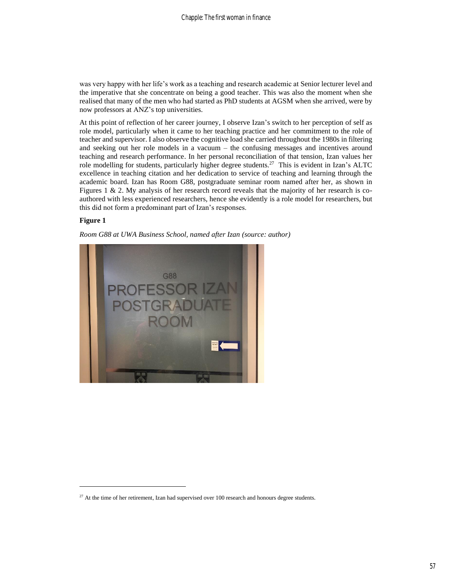was very happy with her life's work as a teaching and research academic at Senior lecturer level and the imperative that she concentrate on being a good teacher. This was also the moment when she realised that many of the men who had started as PhD students at AGSM when she arrived, were by now professors at ANZ's top universities.

At this point of reflection of her career journey, I observe Izan's switch to her perception of self as role model, particularly when it came to her teaching practice and her commitment to the role of teacher and supervisor. I also observe the cognitive load she carried throughout the 1980s in filtering and seeking out her role models in a vacuum – the confusing messages and incentives around teaching and research performance. In her personal reconciliation of that tension, Izan values her role modelling for students, particularly higher degree students.<sup>27</sup> This is evident in Izan's ALTC excellence in teaching citation and her dedication to service of teaching and learning through the academic board. Izan has Room G88, postgraduate seminar room named after her, as shown in Figures 1 & 2. My analysis of her research record reveals that the majority of her research is coauthored with less experienced researchers, hence she evidently is a role model for researchers, but this did not form a predominant part of Izan's responses.

#### **Figure 1**





 $27$  At the time of her retirement, Izan had supervised over 100 research and honours degree students.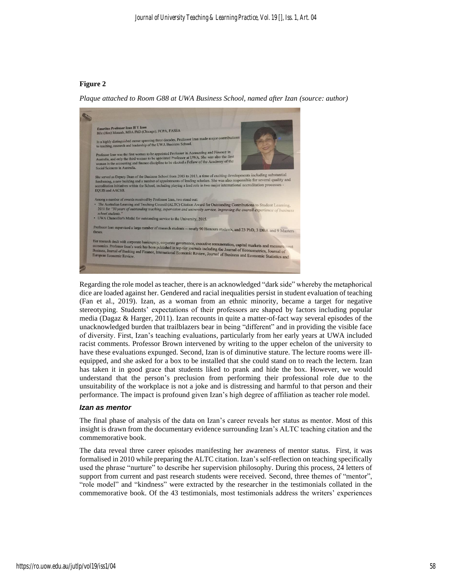#### **Figure 2**

*Plaque attached to Room G88 at UWA Business School, named after Izan (source: author)*



Regarding the role model as teacher, there is an acknowledged "dark side" whereby the metaphorical dice are loaded against her. Gendered and racial inequalities persist in student evaluation of teaching (Fan et al., 2019). Izan, as a woman from an ethnic minority, became a target for negative stereotyping. Students' expectations of their professors are shaped by factors including popular media (Dagaz & Harger, 2011). Izan recounts in quite a matter-of-fact way several episodes of the unacknowledged burden that trailblazers bear in being "different" and in providing the visible face of diversity. First, Izan's teaching evaluations, particularly from her early years at UWA included racist comments. Professor Brown intervened by writing to the upper echelon of the university to have these evaluations expunged. Second, Izan is of diminutive stature. The lecture rooms were illequipped, and she asked for a box to be installed that she could stand on to reach the lectern. Izan has taken it in good grace that students liked to prank and hide the box. However, we would understand that the person's preclusion from performing their professional role due to the unsuitability of the workplace is not a joke and is distressing and harmful to that person and their performance. The impact is profound given Izan's high degree of affiliation as teacher role model.

#### *Izan as mentor*

The final phase of analysis of the data on Izan's career reveals her status as mentor. Most of this insight is drawn from the documentary evidence surrounding Izan's ALTC teaching citation and the commemorative book.

The data reveal three career episodes manifesting her awareness of mentor status. First, it was formalised in 2010 while preparing the ALTC citation. Izan's self-reflection on teaching specifically used the phrase "nurture" to describe her supervision philosophy. During this process, 24 letters of support from current and past research students were received. Second, three themes of "mentor", "role model" and "kindness" were extracted by the researcher in the testimonials collated in the commemorative book. Of the 43 testimonials, most testimonials address the writers' experiences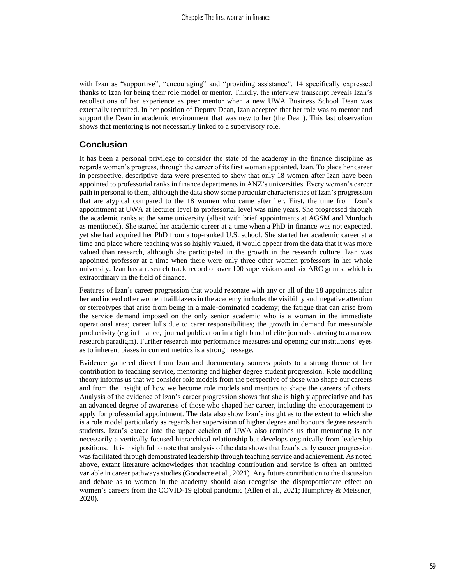with Izan as "supportive", "encouraging" and "providing assistance", 14 specifically expressed thanks to Izan for being their role model or mentor. Thirdly, the interview transcript reveals Izan's recollections of her experience as peer mentor when a new UWA Business School Dean was externally recruited. In her position of Deputy Dean, Izan accepted that her role was to mentor and support the Dean in academic environment that was new to her (the Dean). This last observation shows that mentoring is not necessarily linked to a supervisory role.

## **Conclusion**

It has been a personal privilege to consider the state of the academy in the finance discipline as regards women's progress, through the career of its first woman appointed, Izan. To place her career in perspective, descriptive data were presented to show that only 18 women after Izan have been appointed to professorial ranks in finance departments in ANZ's universities. Every woman's career path in personal to them, although the data show some particular characteristics of Izan's progression that are atypical compared to the 18 women who came after her. First, the time from Izan's appointment at UWA at lecturer level to professorial level was nine years. She progressed through the academic ranks at the same university (albeit with brief appointments at AGSM and Murdoch as mentioned). She started her academic career at a time when a PhD in finance was not expected, yet she had acquired her PhD from a top-ranked U.S. school. She started her academic career at a time and place where teaching was so highly valued, it would appear from the data that it was more valued than research, although she participated in the growth in the research culture. Izan was appointed professor at a time when there were only three other women professors in her whole university. Izan has a research track record of over 100 supervisions and six ARC grants, which is extraordinary in the field of finance.

Features of Izan's career progression that would resonate with any or all of the 18 appointees after her and indeed other women trailblazers in the academy include: the visibility and negative attention or stereotypes that arise from being in a male-dominated academy; the fatigue that can arise from the service demand imposed on the only senior academic who is a woman in the immediate operational area; career lulls due to carer responsibilities; the growth in demand for measurable productivity (e.g in finance, journal publication in a tight band of elite journals catering to a narrow research paradigm). Further research into performance measures and opening our institutions' eyes as to inherent biases in current metrics is a strong message.

Evidence gathered direct from Izan and documentary sources points to a strong theme of her contribution to teaching service, mentoring and higher degree student progression. Role modelling theory informs us that we consider role models from the perspective of those who shape our careers and from the insight of how we become role models and mentors to shape the careers of others. Analysis of the evidence of Izan's career progression shows that she is highly appreciative and has an advanced degree of awareness of those who shaped her career, including the encouragement to apply for professorial appointment. The data also show Izan's insight as to the extent to which she is a role model particularly as regards her supervision of higher degree and honours degree research students. Izan's career into the upper echelon of UWA also reminds us that mentoring is not necessarily a vertically focused hierarchical relationship but develops organically from leadership positions. It is insightful to note that analysis of the data shows that Izan's early career progression was facilitated through demonstrated leadership through teaching service and achievement. As noted above, extant literature acknowledges that teaching contribution and service is often an omitted variable in career pathways studies (Goodacre et al., 2021). Any future contribution to the discussion and debate as to women in the academy should also recognise the disproportionate effect on women's careers from the COVID-19 global pandemic (Allen et al., 2021; Humphrey & Meissner, 2020).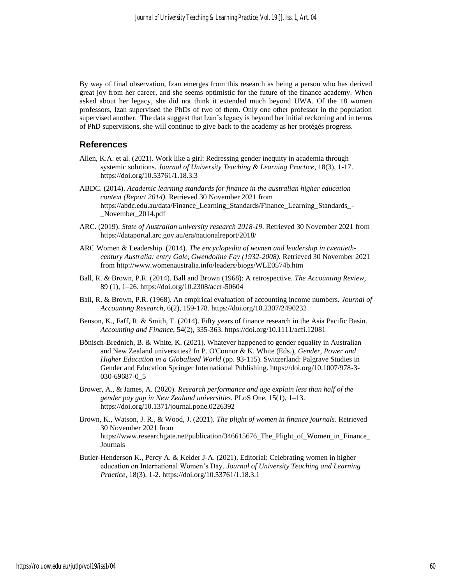By way of final observation, Izan emerges from this research as being a person who has derived great joy from her career, and she seems optimistic for the future of the finance academy. When asked about her legacy, she did not think it extended much beyond UWA. Of the 18 women professors, Izan supervised the PhDs of two of them. Only one other professor in the population supervised another. The data suggest that Izan's legacy is beyond her initial reckoning and in terms of PhD supervisions, she will continue to give back to the academy as her protégés progress.

## **References**

- Allen, K.A. et al. (2021). Work like a girl: Redressing gender inequity in academia through systemic solutions. *Journal of University Teaching & Learning Practice*, 18(3), 1-17. https://doi.org/10.53761/1.18.3.3
- ABDC. (2014). *Academic learning standards for finance in the australian higher education context (Report 2014).* Retrieved 30 November 2021 from https://abdc.edu.au/data/Finance\_Learning\_Standards/Finance\_Learning\_Standards\_- \_November\_2014.pdf
- ARC. (2019). *State of Australian university research 2018-19*. Retrieved 30 November 2021 from https://dataportal.arc.gov.au/era/nationalreport/2018/
- ARC Women & Leadership. (2014). *The encyclopedia of women and leadership in twentiethcentury Australia: entry Gale, Gwendoline Fay (1932-2008).* Retrieved 30 November 2021 from http://www.womenaustralia.info/leaders/biogs/WLE0574b.htm
- Ball, R. & Brown, P.R. (2014). Ball and Brown (1968): A retrospective. *The Accounting Review*, 89 (1), 1–26. https://doi.org/10.2308/accr-50604
- Ball, R. & Brown, P.R. (1968). An empirical evaluation of accounting income numbers. *Journal of Accounting Research*, 6(2), 159-178. https://doi.org/10.2307/2490232
- Benson, K., Faff, R. & Smith, T. (2014). Fifty years of finance research in the Asia Pacific Basin. *Accounting and Finance*, 54(2), 335-363. https://doi.org/10.1111/acfi.12081
- Bönisch-Brednich, B. & White, K. (2021). Whatever happened to gender equality in Australian and New Zealand universities? In P. O'Connor & K. White (Eds.), *Gender, Power and Higher Education in a Globalised World* (pp. 93-115). Switzerland: Palgrave Studies in Gender and Education Springer International Publishing. https://doi.org/10.1007/978-3- 030-69687-0\_5
- Brower, A., & James, A. (2020). *Research performance and age explain less than half of the gender pay gap in New Zealand universities*. PLoS One, 15(1), 1–13. https://doi.org/10.1371/journal.pone.0226392
- Brown, K., Watson, J. R., & Wood, J. (2021). *The plight of women in finance journals*. Retrieved 30 November 2021 from https://www.researchgate.net/publication/346615676\_The\_Plight\_of\_Women\_in\_Finance\_ Journals
- Butler-Henderson K., Percy A. & Kelder J-A. (2021). Editorial: Celebrating women in higher education on International Women's Day. *Journal of University Teaching and Learning Practice*, 18(3), 1-2. https://doi.org/10.53761/1.18.3.1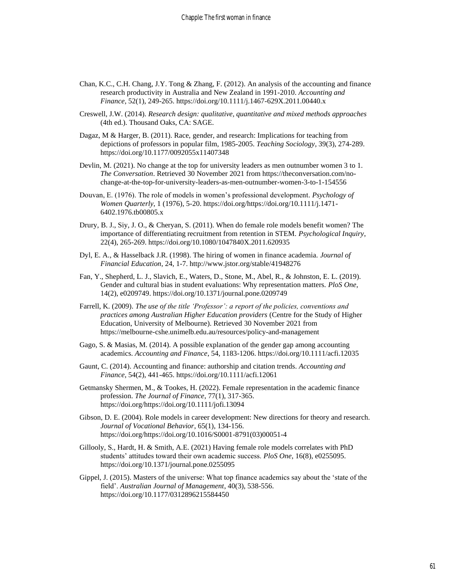- Chan, K.C., C.H. Chang, J.Y. Tong & Zhang, F. (2012). An analysis of the accounting and finance research productivity in Australia and New Zealand in 1991-2010. *Accounting and Finance*, 52(1), 249-265. https://doi.org/10.1111/j.1467-629X.2011.00440.x
- Creswell, J.W. (2014). *Research design: qualitative, quantitative and mixed methods approaches* (4th ed.). Thousand Oaks, CA: SAGE.
- Dagaz, M & Harger, B. (2011). Race, gender, and research: Implications for teaching from depictions of professors in popular film, 1985-2005. *Teaching Sociology*, 39(3), 274-289. https://doi.org/10.1177/0092055x11407348
- Devlin, M. (2021). No change at the top for university leaders as men outnumber women 3 to 1. *The Conversation*. Retrieved 30 November 2021 from https://theconversation.com/nochange-at-the-top-for-university-leaders-as-men-outnumber-women-3-to-1-154556
- Douvan, E. (1976). The role of models in women's professional development*. Psychology of Women Quarterly*, 1 (1976), 5-20. https://doi.org/https://doi.org/10.1111/j.1471- 6402.1976.tb00805.x
- Drury, B. J., Siy, J. O., & Cheryan, S. (2011). When do female role models benefit women? The importance of differentiating recruitment from retention in STEM. *Psychological Inquiry*, 22(4), 265-269. https://doi.org/10.1080/1047840X.2011.620935
- Dyl, E. A., & Hasselback J.R. (1998). The hiring of women in finance academia. *Journal of Financial Education*, 24, 1-7. http://www.jstor.org/stable/41948276
- Fan, Y., Shepherd, L. J., Slavich, E., Waters, D., Stone, M., Abel, R., & Johnston, E. L. (2019). Gender and cultural bias in student evaluations: Why representation matters. *PloS One*, 14(2), e0209749. https://doi.org/10.1371/journal.pone.0209749
- Farrell, K. (2009). *The use of the title 'Professor': a report of the policies, conventions and practices among Australian Higher Education providers* (Centre for the Study of Higher Education, University of Melbourne). Retrieved 30 November 2021 from https://melbourne-cshe.unimelb.edu.au/resources/policy-and-management
- Gago, S. & Masias, M. (2014). A possible explanation of the gender gap among accounting academics. *Accounting and Finance*, 54, 1183-1206. https://doi.org/10.1111/acfi.12035
- Gaunt, C. (2014). Accounting and finance: authorship and citation trends. *Accounting and Finance*, 54(2), 441-465. https://doi.org/10.1111/acfi.12061
- Getmansky Shermen, M., & Tookes, H. (2022). Female representation in the academic finance profession. *The Journal of Finance*, 77(1), 317-365. https://doi.org/https://doi.org/10.1111/jofi.13094
- Gibson, D. E. (2004). Role models in career development: New directions for theory and research. *Journal of Vocational Behavior*, 65(1), 134-156. https://doi.org/https://doi.org/10.1016/S0001-8791(03)00051-4
- Gillooly, S., Hardt, H. & Smith, A.E. (2021) Having female role models correlates with PhD students' attitudes toward their own academic success. *PloS One*, 16(8), e0255095. https://doi.org/10.1371/journal.pone.0255095
- Gippel, J. (2015). Masters of the universe: What top finance academics say about the 'state of the field'. *Australian Journal of Management*, 40(3), 538-556. https://doi.org/10.1177/0312896215584450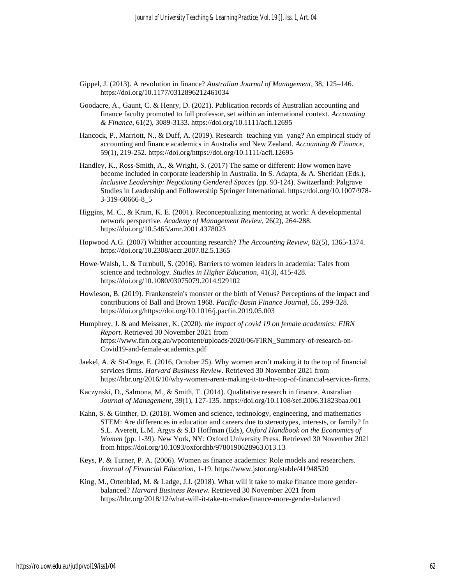- Gippel, J. (2013). A revolution in finance? *Australian Journal of Management*, 38, 125–146. https://doi.org/10.1177/0312896212461034
- Goodacre, A., Gaunt, C. & Henry, D. (2021). Publication records of Australian accounting and finance faculty promoted to full professor, set within an international context. *Accounting & Finance*, 61(2), 3089-3133. https://doi.org/10.1111/acfi.12695
- Hancock, P., Marriott, N., & Duff, A. (2019). Research–teaching yin–yang? An empirical study of accounting and finance academics in Australia and New Zealand. *Accounting & Finance*, 59(1), 219-252. https://doi.org/https://doi.org/10.1111/acfi.12695
- Handley, K., Ross-Smith, A., & Wright, S. (2017) The same or different: How women have become included in corporate leadership in Australia. In S. Adapta, & A. Sheridan (Eds.), *Inclusive Leadership: Negotiating Gendered Spaces* (pp. 93-124). Switzerland: Palgrave Studies in Leadership and Followership Springer International. https://doi.org/10.1007/978- 3-319-60666-8\_5
- Higgins, M. C., & Kram, K. E. (2001). Reconceptualizing mentoring at work: A developmental network perspective. *Academy of Management Review*, 26(2), 264-288. https://doi.org/10.5465/amr.2001.4378023
- Hopwood A.G. (2007) Whither accounting research? *The Accounting Review*, 82(5), 1365-1374. https://doi.org/10.2308/accr.2007.82.5.1365
- Howe‐Walsh, L. & Turnbull, S. (2016). Barriers to women leaders in academia: Tales from science and technology. *Studies in Higher Education*, 41(3), 415‐428. https://doi.org/10.1080/03075079.2014.929102
- Howieson, B. (2019). Frankenstein's monster or the birth of Venus? Perceptions of the impact and contributions of Ball and Brown 1968. *Pacific-Basin Finance Journal*, 55, 299-328. https://doi.org/https://doi.org/10.1016/j.pacfin.2019.05.003
- Humphrey, J. & and Meissner, K. (2020). *the impact of covid 19 on female academics: FIRN Report*. Retrieved 30 November 2021 from https://www.firn.org.au/wpcontent/uploads/2020/06/FIRN\_Summary-of-research-on-Covid19-and-female-academics.pdf
- Jaekel, A. & St-Onge, E. (2016, October 25). Why women aren't making it to the top of financial services firms. *Harvard Business Review*. Retrieved 30 November 2021 from https://hbr.org/2016/10/why-women-arent-making-it-to-the-top-of-financial-services-firms.
- Kaczynski, D., Salmona, M., & Smith, T. (2014). Qualitative research in finance. Australian *Journal of Management*, 39(1), 127-135. https://doi.org/10.1108/sef.2006.31823baa.001
- Kahn, S. & Ginther, D. (2018). Women and science, technology, engineering, and mathematics STEM: Are differences in education and careers due to stereotypes, interests, or family? In S.L. Averett, L.M. Argys & S.D Hoffman (Eds), *Oxford Handbook on the Economics of Women* (pp. 1-39). New York, NY: Oxford University Press. Retrieved 30 November 2021 from https://doi.org/10.1093/oxfordhb/9780190628963.013.13
- Keys, P. & Turner, P. A. (2006). Women as finance academics: Role models and researchers. *Journal of Financial Education*, 1-19. https://www.jstor.org/stable/41948520
- King, M., Ortenblad, M. & Ladge, J.J. (2018). What will it take to make finance more genderbalanced? *Harvard Business Review*. Retrieved 30 November 2021 from https://hbr.org/2018/12/what-will-it-take-to-make-finance-more-gender-balanced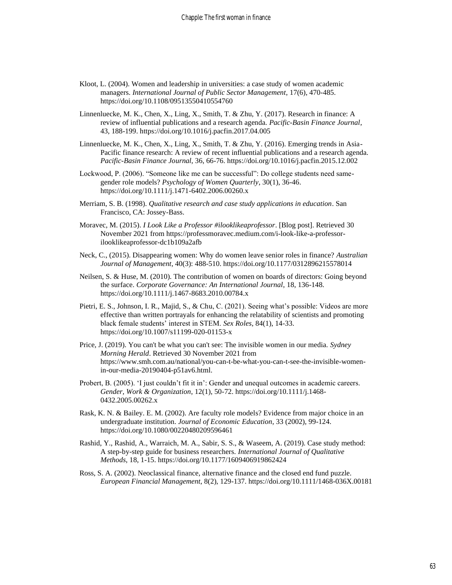- Kloot, L. (2004). Women and leadership in universities: a case study of women academic managers. *International Journal of Public Sector Management*, 17(6), 470-485. https://doi.org/10.1108/09513550410554760
- Linnenluecke, M. K., Chen, X., Ling, X., Smith, T. & Zhu, Y. (2017). Research in finance: A review of influential publications and a research agenda. *Pacific-Basin Finance Journal*, 43, 188-199. https://doi.org/10.1016/j.pacfin.2017.04.005
- Linnenluecke, M. K., Chen, X., Ling, X., Smith, T. & Zhu, Y. (2016). Emerging trends in Asia-Pacific finance research: A review of recent influential publications and a research agenda. *Pacific-Basin Finance Journal*, 36, 66-76. https://doi.org/10.1016/j.pacfin.2015.12.002
- Lockwood, P. (2006). "Someone like me can be successful": Do college students need samegender role models? *Psychology of Women Quarterly*, 30(1), 36-46. https://doi.org/10.1111/j.1471-6402.2006.00260.x
- Merriam, S. B. (1998). *Qualitative research and case study applications in education*. San Francisco, CA: Jossey-Bass.
- Moravec, M. (2015). *I Look Like a Professor #ilooklikeaprofessor*. [Blog post]. Retrieved 30 November 2021 from https://professmoravec.medium.com/i-look-like-a-professorilooklikeaprofessor-dc1b109a2afb
- Neck, C., (2015). Disappearing women: Why do women leave senior roles in finance? *Australian Journal of Management*, 40(3): 488-510. https://doi.org/10.1177/0312896215578014
- Neilsen, S. & Huse, M. (2010). The contribution of women on boards of directors: Going beyond the surface. *Corporate Governance: An International Journal*, 18, 136-148. https://doi.org/10.1111/j.1467-8683.2010.00784.x
- Pietri, E. S., Johnson, I. R., Majid, S., & Chu, C. (2021). Seeing what's possible: Videos are more effective than written portrayals for enhancing the relatability of scientists and promoting black female students' interest in STEM. *Sex Roles*, 84(1), 14-33. https://doi.org/10.1007/s11199-020-01153-x
- Price, J. (2019). You can't be what you can't see: The invisible women in our media. *Sydney Morning Herald*. Retrieved 30 November 2021 from https://www.smh.com.au/national/you-can-t-be-what-you-can-t-see-the-invisible-womenin-our-media-20190404-p51av6.html.
- Probert, B. (2005). 'I just couldn't fit it in': Gender and unequal outcomes in academic careers. *Gender, Work & Organization*, 12(1), 50-72. https://doi.org/10.1111/j.1468- 0432.2005.00262.x
- Rask, K. N. & Bailey. E. M. (2002). Are faculty role models? Evidence from major choice in an undergraduate institution. *Journal of Economic Education*, 33 (2002), 99-124. https://doi.org/10.1080/00220480209596461
- Rashid, Y., Rashid, A., Warraich, M. A., Sabir, S. S., & Waseem, A. (2019). Case study method: A step-by-step guide for business researchers. *International Journal of Qualitative Methods*, 18, 1-15. https://doi.org/10.1177/1609406919862424
- Ross, S. A. (2002). Neoclassical finance, alternative finance and the closed end fund puzzle. *European Financial Management*, 8(2), 129-137. https://doi.org/10.1111/1468-036X.00181